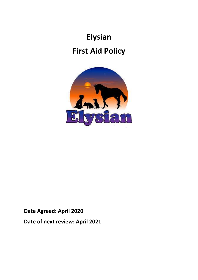# **Elysian First Aid Policy**



**Date Agreed: April 2020 Date of next review: April 2021**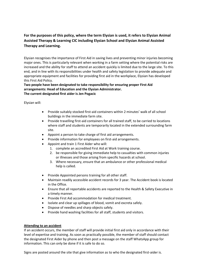# **For the purposes of this policy, where the term Elysian is used, it refers to Elysian Animal Assisted Therapy & Learning CIC including Elysian School and Elysian Animal Assisted Therapy and Learning.**

Elysian recognises the importance of First Aid in saving lives and preventing minor injuries becoming major ones. This is particularly relevant when working in a farm setting where the potential risks are increased and the ability for staff to attend an accident quickly is limited due to the large site. To this end, and in line with its responsibilities under health and safety legislation to provide adequate and appropriate equipment and facilities for providing first aid in the workplace, Elysian has developed this First Aid Policy.

**Two people have been designated to take responsibility for ensuring proper First Aid arrangements: Head of Education and the Elysian Administrator. The current designated first aider is Jen Pogacic**

Elysian will:

- Provide suitably stocked first-aid containers within 2 minutes' walk of all school buildings in the immediate farm site.
- Provide travelling first-aid containers for all trained staff, to be carried to locations where staff and students are temporarily located in the extended surrounding farm site.
- Appoint a person to take charge of first aid arrangements.
- Provide information for employees on first-aid arrangements.
- Appoint and train 1 First Aider who will:
	- 1. complete an accredited First Aid at Work training course.
	- 2. be responsible for giving immediate help to casualties with common injuries or illnesses and those arising from specific hazards at school.
	- 3. Where necessary, ensure that an ambulance or other professional medical help is called.
- Provide Appointed persons training for all other staff.
- Maintain readily accessible accident records for 3 year. The Accident book is located in the Office.
- Ensure that all reportable accidents are reported to the Health & Safety Executive in a timely manner.
- Provide First Aid accommodation for medical treatment.
- Isolate and clear up spillages of blood, vomit and excreta safely.
- Dispose of needles and sharp objects safely.
- Provide hand washing facilities for all staff, students and visitors.

## **Attending to an accident**

If an accident occurs, the member of staff will provide initial first aid only in accordance with their level of expertise and training. As soon as practically possible, the member of staff should contact the designated First Aider by phone and then post a message on the staff WhatsApp group for information. This can only be done if it is safe to do so.

Signs are posted around the site that give information as to who the designated first-aider is.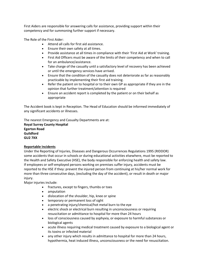First Aiders are responsible for answering calls for assistance, providing support within their competency and for summoning further support if necessary.

The Role of the First Aider:

- Attend all calls for first aid assistance.
- Ensure their own safety at all times.
- Provide assistance at all times in compliance with their 'First Aid at Work' training.
- First Aid Officers must be aware of the limits of their competency and when to call for an ambulance/assistance.
- Take charge of the casualty until a satisfactory level of recovery has been achieved or until the emergency services have arrived.
- Ensure that the condition of the casualty does not deteriorate as far as reasonably practicable by implementing their first aid training.
- Refer the patient on to hospital or to their own GP as appropriate if they are in the opinion that further treatment/attention is required
- Ensure an accident report is completed by the patient or on their behalf as appropriate

The Accident book is kept in Reception. The Head of Education should be informed immediately of any significant accidents or illnesses.

The nearest Emergency and Casualty Departments are at:

**Royal Surrey County Hospital Egerton Road Guildford GU2 7XX**

## **Reportable Incidents**

Under the Reporting of Injuries, Diseases and Dangerous Occurrences Regulations 1995 (RIDDOR) some accidents that occur in schools or during educational activities elsewhere, must be reported to the Health and Safety Executive (HSE), the body responsible for enforcing health and safety law. If employees or self-employed persons working on premises suffer injury, accidents must be reported to the HSE if they: prevent the injured person from continuing at his/her normal work for more than three consecutive days, (excluding the day of the accident), or result in death or major injury.

Major injuries include:

- fractures, except to fingers, thumbs or toes
- amputation
- dislocation of the shoulder, hip, knee or spine
- temporary or permanent loss of sight
- a penetrating injury/chemical/hot metal burn to the eye
- electric shock or electrical burn resulting in unconsciousness or requiring resuscitation or admittance to hospital for more than 24 hours
- loss of consciousness caused by asphyxia, or exposure to harmful substances or biological agents
- acute illness requiring medical treatment caused by exposure to a biological agent or its toxins or infected material
- any other injury which results in admittance to hospital for more than 24 hours, hypothermia, heat induced illness, unconsciousness or the need for resuscitation.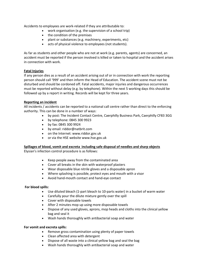Accidents to employees are work-related if they are attributable to:

- work organisation (e.g. the supervision of a school trip)
- the condition of the premises
- plant or substances (e.g. machinery, experiments, etc)
- acts of physical violence to employees (not students).

As far as students and other people who are not at work (e.g. parents, agents) are concerned, an accident must be reported if the person involved is killed or taken to hospital and the accident arises in connection with work.

#### **Fatal Injuries**

If any person dies as a result of an accident arising out of or in connection with work the reporting person should call '999' and then inform the Head of Education. The accident scene must not be disturbed and should be cordoned off. Fatal accidents, major injuries and dangerous occurrences must be reported without delay (e.g. by telephone). Within the next 5 working days this should be followed up by a report in writing. Records will be kept for three years.

#### **Reporting an incident**

All incidents / accidents can be reported to a national call centre rather than direct to the enforcing authority. This can be done in a number of ways:

- by post: The Incident Contact Centre, Caerphilly Business Park, Caerphilly CF83 3GG
- by telephone: 0845 300 9923
- by fax: 0845 300 9924
- by email: riddor@natbrit.com
- on the Internet: www.riddor.gov.uk
- or via the HSE website www.hse.gov.uk

#### **Spillages of blood, vomit and excreta including safe disposal of needles and sharp objects**

Elysian's infection control procedure is as follows:

- Keep people away from the contaminated area
- Cover all breaks in the skin with waterproof plasters
- Wear disposable blue nitrile gloves and a disposable apron
- Where splashing is possible, protect eyes and mouth with a visor
- Avoid hand-mouth contact and hand-eye contact

#### **For blood spills:**

- Use diluted bleach (1-part bleach to 10-parts water) in a bucket of warm water
- Carefully pour the dilute mixture gently over the spill
- Cover with disposable towels
- After 2 minutes mop up using more disposable towels
- Dispose of any used gloves, aprons, mop heads and cloths into the clinical yellow bag and seal it
- Wash hands thoroughly with antibacterial soap and water

#### **For vomit and excreta spills:**

- Remove gross contamination using plenty of paper towels
- Clean affected area with detergent
- Dispose of all waste into a clinical yellow bag and seal the bag
- Wash hands thoroughly with antibacterial soap and water